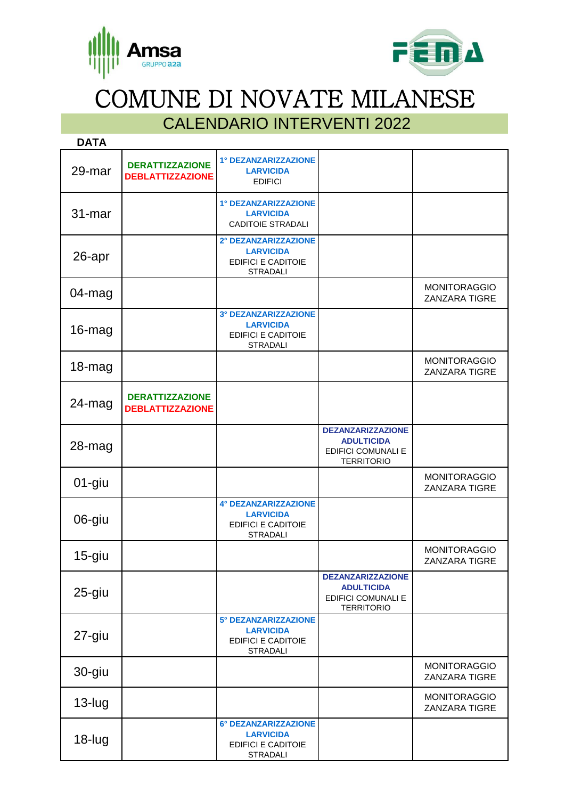



COMUNE DI NOVATE MILANESE

## CALENDARIO INTERVENTI 2022

| <b>DATA</b> |                                                   |                                                                                          |                                                                                                 |                                             |
|-------------|---------------------------------------------------|------------------------------------------------------------------------------------------|-------------------------------------------------------------------------------------------------|---------------------------------------------|
| 29-mar      | <b>DERATTIZZAZIONE</b><br><b>DEBLATTIZZAZIONE</b> | 1° DEZANZARIZZAZIONE<br><b>LARVICIDA</b><br><b>EDIFICI</b>                               |                                                                                                 |                                             |
| 31-mar      |                                                   | 1° DEZANZARIZZAZIONE<br><b>LARVICIDA</b><br><b>CADITOIE STRADALI</b>                     |                                                                                                 |                                             |
| 26-apr      |                                                   | 2° DEZANZARIZZAZIONE<br><b>LARVICIDA</b><br><b>EDIFICI E CADITOIE</b><br><b>STRADALI</b> |                                                                                                 |                                             |
| 04-mag      |                                                   |                                                                                          |                                                                                                 | <b>MONITORAGGIO</b><br>ZANZARA TIGRE        |
| 16-mag      |                                                   | 3° DEZANZARIZZAZIONE<br><b>LARVICIDA</b><br><b>EDIFICI E CADITOIE</b><br><b>STRADALI</b> |                                                                                                 |                                             |
| 18-mag      |                                                   |                                                                                          |                                                                                                 | <b>MONITORAGGIO</b><br>ZANZARA TIGRE        |
| $24$ -mag   | <b>DERATTIZZAZIONE</b><br><b>DEBLATTIZZAZIONE</b> |                                                                                          |                                                                                                 |                                             |
| 28-mag      |                                                   |                                                                                          | <b>DEZANZARIZZAZIONE</b><br><b>ADULTICIDA</b><br><b>EDIFICI COMUNALI E</b><br><b>TERRITORIO</b> |                                             |
| 01-giu      |                                                   |                                                                                          |                                                                                                 | <b>MONITORAGGIO</b><br>ZANZARA TIGRE        |
| 06-giu      |                                                   | 4° DEZANZARIZZAZIONE<br><b>LARVICIDA</b><br><b>EDIFICI E CADITOIE</b><br><b>STRADALI</b> |                                                                                                 |                                             |
| $15$ -giu   |                                                   |                                                                                          |                                                                                                 | <b>MONITORAGGIO</b><br>ZANZARA TIGRE        |
| 25-giu      |                                                   |                                                                                          | <b>DEZANZARIZZAZIONE</b><br><b>ADULTICIDA</b><br><b>EDIFICI COMUNALI E</b><br><b>TERRITORIO</b> |                                             |
| 27-giu      |                                                   | 5° DEZANZARIZZAZIONE<br><b>LARVICIDA</b><br><b>EDIFICI E CADITOIE</b><br><b>STRADALI</b> |                                                                                                 |                                             |
| 30-giu      |                                                   |                                                                                          |                                                                                                 | <b>MONITORAGGIO</b><br><b>ZANZARA TIGRE</b> |
| $13$ -lug   |                                                   |                                                                                          |                                                                                                 | <b>MONITORAGGIO</b><br>ZANZARA TIGRE        |
| 18-lug      |                                                   | 6° DEZANZARIZZAZIONE<br><b>LARVICIDA</b><br><b>EDIFICI E CADITOIE</b><br><b>STRADALI</b> |                                                                                                 |                                             |